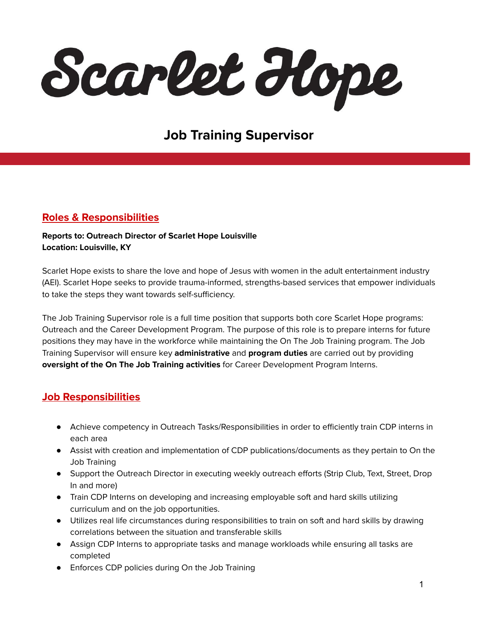Scarlet Hope

# **Job Training Supervisor**

## **Roles & Responsibilities**

#### **Reports to: Outreach Director of Scarlet Hope Louisville Location: Louisville, KY**

Scarlet Hope exists to share the love and hope of Jesus with women in the adult entertainment industry (AEI). Scarlet Hope seeks to provide trauma-informed, strengths-based services that empower individuals to take the steps they want towards self-sufficiency.

The Job Training Supervisor role is a full time position that supports both core Scarlet Hope programs: Outreach and the Career Development Program. The purpose of this role is to prepare interns for future positions they may have in the workforce while maintaining the On The Job Training program. The Job Training Supervisor will ensure key **administrative** and **program duties** are carried out by providing **oversight of the On The Job Training activities** for Career Development Program Interns.

## **Job Responsibilities**

- Achieve competency in Outreach Tasks/Responsibilities in order to efficiently train CDP interns in each area
- Assist with creation and implementation of CDP publications/documents as they pertain to On the Job Training
- Support the Outreach Director in executing weekly outreach efforts (Strip Club, Text, Street, Drop In and more)
- Train CDP Interns on developing and increasing employable soft and hard skills utilizing curriculum and on the job opportunities.
- Utilizes real life circumstances during responsibilities to train on soft and hard skills by drawing correlations between the situation and transferable skills
- Assign CDP Interns to appropriate tasks and manage workloads while ensuring all tasks are completed
- Enforces CDP policies during On the Job Training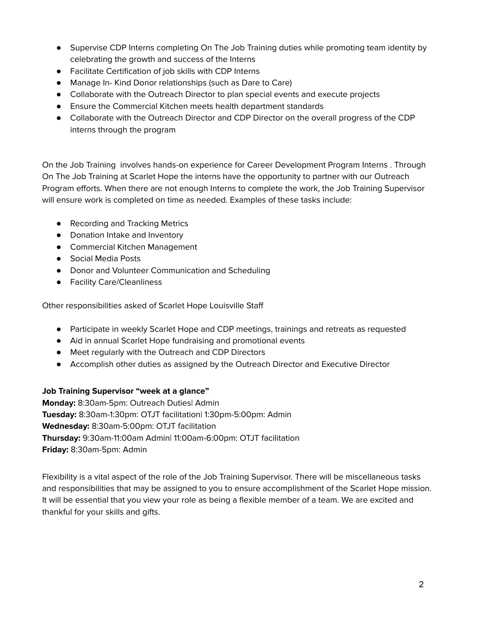- Supervise CDP Interns completing On The Job Training duties while promoting team identity by celebrating the growth and success of the Interns
- Facilitate Certification of job skills with CDP Interns
- Manage In- Kind Donor relationships (such as Dare to Care)
- Collaborate with the Outreach Director to plan special events and execute projects
- Ensure the Commercial Kitchen meets health department standards
- Collaborate with the Outreach Director and CDP Director on the overall progress of the CDP interns through the program

On the Job Training involves hands-on experience for Career Development Program Interns . Through On The Job Training at Scarlet Hope the interns have the opportunity to partner with our Outreach Program efforts. When there are not enough Interns to complete the work, the Job Training Supervisor will ensure work is completed on time as needed. Examples of these tasks include:

- Recording and Tracking Metrics
- Donation Intake and Inventory
- Commercial Kitchen Management
- Social Media Posts
- Donor and Volunteer Communication and Scheduling
- Facility Care/Cleanliness

Other responsibilities asked of Scarlet Hope Louisville Staff

- Participate in weekly Scarlet Hope and CDP meetings, trainings and retreats as requested
- Aid in annual Scarlet Hope fundraising and promotional events
- Meet regularly with the Outreach and CDP Directors
- Accomplish other duties as assigned by the Outreach Director and Executive Director

#### **Job Training Supervisor "week at a glance"**

**Monday:** 8:30am-5pm: Outreach Duties| Admin **Tuesday:** 8:30am-1:30pm: OTJT facilitation| 1:30pm-5:00pm: Admin **Wednesday:** 8:30am-5:00pm: OTJT facilitation **Thursday:** 9:30am-11:00am Admin| 11:00am-6:00pm: OTJT facilitation **Friday:** 8:30am-5pm: Admin

Flexibility is a vital aspect of the role of the Job Training Supervisor. There will be miscellaneous tasks and responsibilities that may be assigned to you to ensure accomplishment of the Scarlet Hope mission. It will be essential that you view your role as being a flexible member of a team. We are excited and thankful for your skills and gifts.